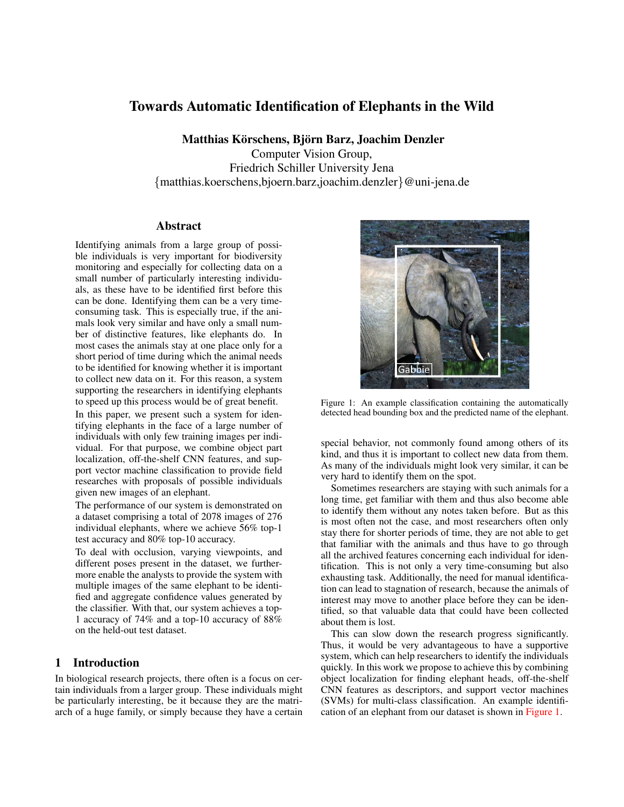# Towards Automatic Identification of Elephants in the Wild

Matthias Körschens, Björn Barz, Joachim Denzler

Computer Vision Group, Friedrich Schiller University Jena {matthias.koerschens,bjoern.barz,joachim.denzler}@uni-jena.de

#### Abstract

Identifying animals from a large group of possible individuals is very important for biodiversity monitoring and especially for collecting data on a small number of particularly interesting individuals, as these have to be identified first before this can be done. Identifying them can be a very timeconsuming task. This is especially true, if the animals look very similar and have only a small number of distinctive features, like elephants do. In most cases the animals stay at one place only for a short period of time during which the animal needs to be identified for knowing whether it is important to collect new data on it. For this reason, a system supporting the researchers in identifying elephants to speed up this process would be of great benefit.

In this paper, we present such a system for identifying elephants in the face of a large number of individuals with only few training images per individual. For that purpose, we combine object part localization, off-the-shelf CNN features, and support vector machine classification to provide field researches with proposals of possible individuals given new images of an elephant.

The performance of our system is demonstrated on a dataset comprising a total of 2078 images of 276 individual elephants, where we achieve 56% top-1 test accuracy and 80% top-10 accuracy.

To deal with occlusion, varying viewpoints, and different poses present in the dataset, we furthermore enable the analysts to provide the system with multiple images of the same elephant to be identified and aggregate confidence values generated by the classifier. With that, our system achieves a top-1 accuracy of 74% and a top-10 accuracy of 88% on the held-out test dataset.

### 1 Introduction

In biological research projects, there often is a focus on certain individuals from a larger group. These individuals might be particularly interesting, be it because they are the matriarch of a huge family, or simply because they have a certain

<span id="page-0-0"></span>

Figure 1: An example classification containing the automatically detected head bounding box and the predicted name of the elephant.

special behavior, not commonly found among others of its kind, and thus it is important to collect new data from them. As many of the individuals might look very similar, it can be very hard to identify them on the spot.

Sometimes researchers are staying with such animals for a long time, get familiar with them and thus also become able to identify them without any notes taken before. But as this is most often not the case, and most researchers often only stay there for shorter periods of time, they are not able to get that familiar with the animals and thus have to go through all the archived features concerning each individual for identification. This is not only a very time-consuming but also exhausting task. Additionally, the need for manual identification can lead to stagnation of research, because the animals of interest may move to another place before they can be identified, so that valuable data that could have been collected about them is lost.

This can slow down the research progress significantly. Thus, it would be very advantageous to have a supportive system, which can help researchers to identify the individuals quickly. In this work we propose to achieve this by combining object localization for finding elephant heads, off-the-shelf CNN features as descriptors, and support vector machines (SVMs) for multi-class classification. An example identification of an elephant from our dataset is shown in [Figure 1.](#page-0-0)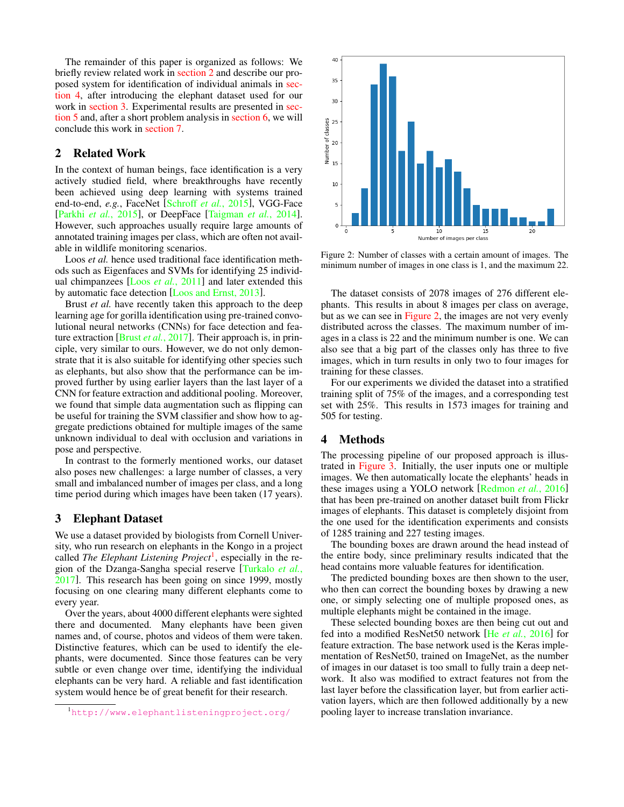The remainder of this paper is organized as follows: We briefly review related work in [section 2](#page-1-0) and describe our proposed system for identification of individual animals in [sec](#page-1-1)[tion 4,](#page-1-1) after introducing the elephant dataset used for our work in [section 3.](#page-1-2) Experimental results are presented in [sec](#page-2-0)[tion 5](#page-2-0) and, after a short problem analysis in [section 6,](#page-3-0) we will conclude this work in [section 7.](#page-3-1)

### <span id="page-1-0"></span>2 Related Work

In the context of human beings, face identification is a very actively studied field, where breakthroughs have recently been achieved using deep learning with systems trained end-to-end, *e.g.*, FaceNet [\[Schroff](#page-4-0) *et al.*, 2015], VGG-Face [Parkhi *et al.*[, 2015\]](#page-4-1), or DeepFace [\[Taigman](#page-4-2) *et al.*, 2014]. However, such approaches usually require large amounts of annotated training images per class, which are often not available in wildlife monitoring scenarios.

Loos *et al.* hence used traditional face identification methods such as Eigenfaces and SVMs for identifying 25 individual chimpanzees [Loos *et al.*[, 2011\]](#page-4-3) and later extended this by automatic face detection [\[Loos and Ernst, 2013\]](#page-4-4).

Brust *et al.* have recently taken this approach to the deep learning age for gorilla identification using pre-trained convolutional neural networks (CNNs) for face detection and feature extraction [Brust *et al.*[, 2017\]](#page-4-5). Their approach is, in principle, very similar to ours. However, we do not only demonstrate that it is also suitable for identifying other species such as elephants, but also show that the performance can be improved further by using earlier layers than the last layer of a CNN for feature extraction and additional pooling. Moreover, we found that simple data augmentation such as flipping can be useful for training the SVM classifier and show how to aggregate predictions obtained for multiple images of the same unknown individual to deal with occlusion and variations in pose and perspective.

In contrast to the formerly mentioned works, our dataset also poses new challenges: a large number of classes, a very small and imbalanced number of images per class, and a long time period during which images have been taken (17 years).

#### <span id="page-1-2"></span>3 Elephant Dataset

We use a dataset provided by biologists from Cornell University, who run research on elephants in the Kongo in a project called *The Elephant Listening Project<sup>[1](#page-1-3)</sup>*, especially in the region of the Dzanga-Sangha special reserve [\[Turkalo](#page-4-6) *et al.*, [2017\]](#page-4-6). This research has been going on since 1999, mostly focusing on one clearing many different elephants come to every year.

Over the years, about 4000 different elephants were sighted there and documented. Many elephants have been given names and, of course, photos and videos of them were taken. Distinctive features, which can be used to identify the elephants, were documented. Since those features can be very subtle or even change over time, identifying the individual elephants can be very hard. A reliable and fast identification system would hence be of great benefit for their research.

<span id="page-1-4"></span>

Figure 2: Number of classes with a certain amount of images. The minimum number of images in one class is 1, and the maximum 22.

The dataset consists of 2078 images of 276 different elephants. This results in about 8 images per class on average, but as we can see in [Figure 2,](#page-1-4) the images are not very evenly distributed across the classes. The maximum number of images in a class is 22 and the minimum number is one. We can also see that a big part of the classes only has three to five images, which in turn results in only two to four images for training for these classes.

For our experiments we divided the dataset into a stratified training split of 75% of the images, and a corresponding test set with 25%. This results in 1573 images for training and 505 for testing.

### <span id="page-1-1"></span>4 Methods

The processing pipeline of our proposed approach is illustrated in [Figure 3.](#page-2-1) Initially, the user inputs one or multiple images. We then automatically locate the elephants' heads in these images using a YOLO network [\[Redmon](#page-4-7) *et al.*, 2016] that has been pre-trained on another dataset built from Flickr images of elephants. This dataset is completely disjoint from the one used for the identification experiments and consists of 1285 training and 227 testing images.

The bounding boxes are drawn around the head instead of the entire body, since preliminary results indicated that the head contains more valuable features for identification.

The predicted bounding boxes are then shown to the user, who then can correct the bounding boxes by drawing a new one, or simply selecting one of multiple proposed ones, as multiple elephants might be contained in the image.

These selected bounding boxes are then being cut out and fed into a modified ResNet50 network [He *et al.*[, 2016\]](#page-4-8) for feature extraction. The base network used is the Keras implementation of ResNet50, trained on ImageNet, as the number of images in our dataset is too small to fully train a deep network. It also was modified to extract features not from the last layer before the classification layer, but from earlier activation layers, which are then followed additionally by a new pooling layer to increase translation invariance.

<span id="page-1-3"></span><sup>1</sup><http://www.elephantlisteningproject.org/>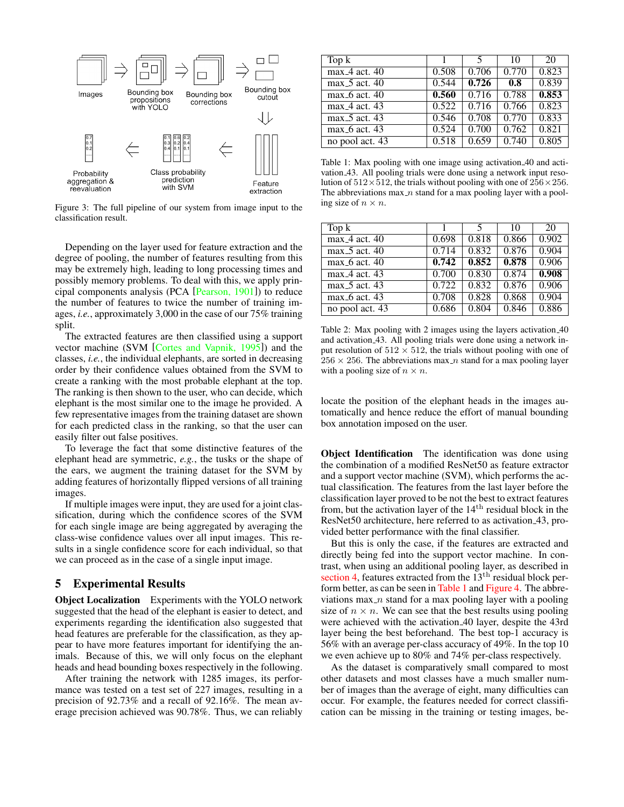<span id="page-2-1"></span>

Figure 3: The full pipeline of our system from image input to the classification result.

Depending on the layer used for feature extraction and the degree of pooling, the number of features resulting from this may be extremely high, leading to long processing times and possibly memory problems. To deal with this, we apply principal components analysis (PCA [\[Pearson, 1901\]](#page-4-9)) to reduce the number of features to twice the number of training images, *i.e.*, approximately 3,000 in the case of our 75% training split.

The extracted features are then classified using a support vector machine (SVM [\[Cortes and Vapnik, 1995\]](#page-4-10)) and the classes, *i.e.*, the individual elephants, are sorted in decreasing order by their confidence values obtained from the SVM to create a ranking with the most probable elephant at the top. The ranking is then shown to the user, who can decide, which elephant is the most similar one to the image he provided. A few representative images from the training dataset are shown for each predicted class in the ranking, so that the user can easily filter out false positives.

To leverage the fact that some distinctive features of the elephant head are symmetric, *e.g.*, the tusks or the shape of the ears, we augment the training dataset for the SVM by adding features of horizontally flipped versions of all training images.

If multiple images were input, they are used for a joint classification, during which the confidence scores of the SVM for each single image are being aggregated by averaging the class-wise confidence values over all input images. This results in a single confidence score for each individual, so that we can proceed as in the case of a single input image.

#### <span id="page-2-0"></span>5 Experimental Results

Object Localization Experiments with the YOLO network suggested that the head of the elephant is easier to detect, and experiments regarding the identification also suggested that head features are preferable for the classification, as they appear to have more features important for identifying the animals. Because of this, we will only focus on the elephant heads and head bounding boxes respectively in the following.

After training the network with 1285 images, its performance was tested on a test set of 227 images, resulting in a precision of 92.73% and a recall of 92.16%. The mean average precision achieved was 90.78%. Thus, we can reliably

<span id="page-2-2"></span>

| Top k           |       |       | 10    | 20    |
|-----------------|-------|-------|-------|-------|
| $max_4$ act. 40 | 0.508 | 0.706 | 0.770 | 0.823 |
| $max_5$ act. 40 | 0.544 | 0.726 | 0.8   | 0.839 |
| $max_6$ act. 40 | 0.560 | 0.716 | 0.788 | 0.853 |
| $max_4$ act. 43 | 0.522 | 0.716 | 0.766 | 0.823 |
| $max_5$ act. 43 | 0.546 | 0.708 | 0.770 | 0.833 |
| $max_6$ act. 43 | 0.524 | 0.700 | 0.762 | 0.821 |
| no pool act. 43 | 0.518 | 0.659 | 0.740 | 0.805 |

Table 1: Max pooling with one image using activation 40 and activation 43. All pooling trials were done using a network input resolution of  $512\times512$ , the trials without pooling with one of  $256\times256$ . The abbreviations  $max_n$  stand for a max pooling layer with a pooling size of  $n \times n$ .

<span id="page-2-3"></span>

| Top k           |       |       | 10    | 20    |
|-----------------|-------|-------|-------|-------|
| $max_4$ act. 40 | 0.698 | 0.818 | 0.866 | 0.902 |
| $max_5$ act. 40 | 0.714 | 0.832 | 0.876 | 0.904 |
| $max_6$ act. 40 | 0.742 | 0.852 | 0.878 | 0.906 |
| $max_4$ act. 43 | 0.700 | 0.830 | 0.874 | 0.908 |
| $max_5$ act. 43 | 0.722 | 0.832 | 0.876 | 0.906 |
| $max_6$ act. 43 | 0.708 | 0.828 | 0.868 | 0.904 |
| no pool act. 43 | 0.686 | 0.804 | 0.846 | 0.886 |

Table 2: Max pooling with 2 images using the layers activation 40 and activation 43. All pooling trials were done using a network input resolution of  $512 \times 512$ , the trials without pooling with one of  $256 \times 256$ . The abbreviations max n stand for a max pooling layer with a pooling size of  $n \times n$ .

locate the position of the elephant heads in the images automatically and hence reduce the effort of manual bounding box annotation imposed on the user.

Object Identification The identification was done using the combination of a modified ResNet50 as feature extractor and a support vector machine (SVM), which performs the actual classification. The features from the last layer before the classification layer proved to be not the best to extract features from, but the activation layer of the  $14<sup>th</sup>$  residual block in the ResNet50 architecture, here referred to as activation 43, provided better performance with the final classifier.

But this is only the case, if the features are extracted and directly being fed into the support vector machine. In contrast, when using an additional pooling layer, as described in [section 4,](#page-1-1) features extracted from the 13<sup>th</sup> residual block perform better, as can be seen in [Table 1](#page-2-2) and [Figure 4.](#page-3-2) The abbreviations max  $\alpha$  stand for a max pooling layer with a pooling size of  $n \times n$ . We can see that the best results using pooling were achieved with the activation 40 layer, despite the 43rd layer being the best beforehand. The best top-1 accuracy is 56% with an average per-class accuracy of 49%. In the top 10 we even achieve up to 80% and 74% per-class respectively.

As the dataset is comparatively small compared to most other datasets and most classes have a much smaller number of images than the average of eight, many difficulties can occur. For example, the features needed for correct classification can be missing in the training or testing images, be-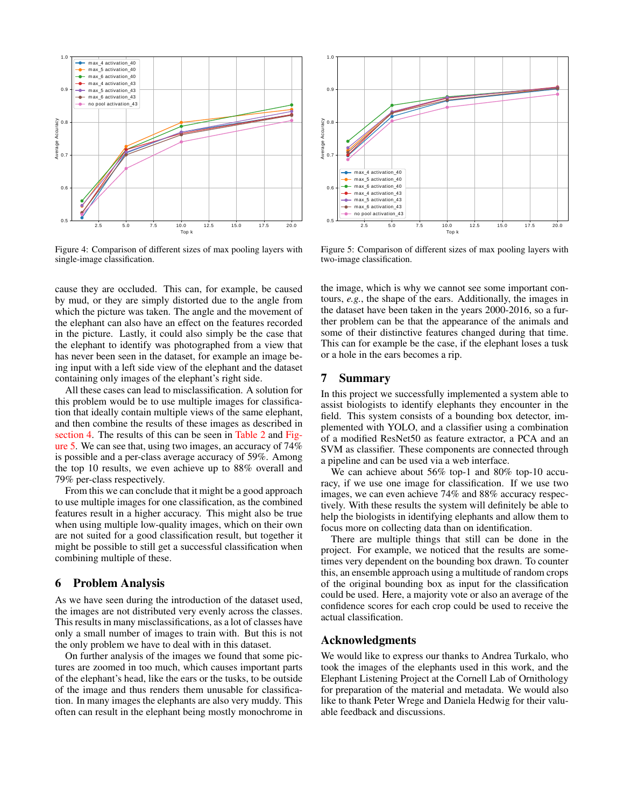<span id="page-3-2"></span>

Figure 4: Comparison of different sizes of max pooling layers with single-image classification.

cause they are occluded. This can, for example, be caused by mud, or they are simply distorted due to the angle from which the picture was taken. The angle and the movement of the elephant can also have an effect on the features recorded in the picture. Lastly, it could also simply be the case that the elephant to identify was photographed from a view that has never been seen in the dataset, for example an image being input with a left side view of the elephant and the dataset containing only images of the elephant's right side.

All these cases can lead to misclassification. A solution for this problem would be to use multiple images for classification that ideally contain multiple views of the same elephant, and then combine the results of these images as described in [section 4.](#page-1-1) The results of this can be seen in [Table 2](#page-2-3) and [Fig](#page-3-3)[ure 5.](#page-3-3) We can see that, using two images, an accuracy of 74% is possible and a per-class average accuracy of 59%. Among the top 10 results, we even achieve up to 88% overall and 79% per-class respectively.

From this we can conclude that it might be a good approach to use multiple images for one classification, as the combined features result in a higher accuracy. This might also be true when using multiple low-quality images, which on their own are not suited for a good classification result, but together it might be possible to still get a successful classification when combining multiple of these.

#### <span id="page-3-0"></span>6 Problem Analysis

As we have seen during the introduction of the dataset used, the images are not distributed very evenly across the classes. This results in many misclassifications, as a lot of classes have only a small number of images to train with. But this is not the only problem we have to deal with in this dataset.

On further analysis of the images we found that some pictures are zoomed in too much, which causes important parts of the elephant's head, like the ears or the tusks, to be outside of the image and thus renders them unusable for classification. In many images the elephants are also very muddy. This often can result in the elephant being mostly monochrome in

<span id="page-3-3"></span>

Figure 5: Comparison of different sizes of max pooling layers with two-image classification.

the image, which is why we cannot see some important contours, *e.g.*, the shape of the ears. Additionally, the images in the dataset have been taken in the years 2000-2016, so a further problem can be that the appearance of the animals and some of their distinctive features changed during that time. This can for example be the case, if the elephant loses a tusk or a hole in the ears becomes a rip.

#### <span id="page-3-1"></span>7 Summary

In this project we successfully implemented a system able to assist biologists to identify elephants they encounter in the field. This system consists of a bounding box detector, implemented with YOLO, and a classifier using a combination of a modified ResNet50 as feature extractor, a PCA and an SVM as classifier. These components are connected through a pipeline and can be used via a web interface.

We can achieve about 56% top-1 and 80% top-10 accuracy, if we use one image for classification. If we use two images, we can even achieve 74% and 88% accuracy respectively. With these results the system will definitely be able to help the biologists in identifying elephants and allow them to focus more on collecting data than on identification.

There are multiple things that still can be done in the project. For example, we noticed that the results are sometimes very dependent on the bounding box drawn. To counter this, an ensemble approach using a multitude of random crops of the original bounding box as input for the classification could be used. Here, a majority vote or also an average of the confidence scores for each crop could be used to receive the actual classification.

#### Acknowledgments

We would like to express our thanks to Andrea Turkalo, who took the images of the elephants used in this work, and the Elephant Listening Project at the Cornell Lab of Ornithology for preparation of the material and metadata. We would also like to thank Peter Wrege and Daniela Hedwig for their valuable feedback and discussions.